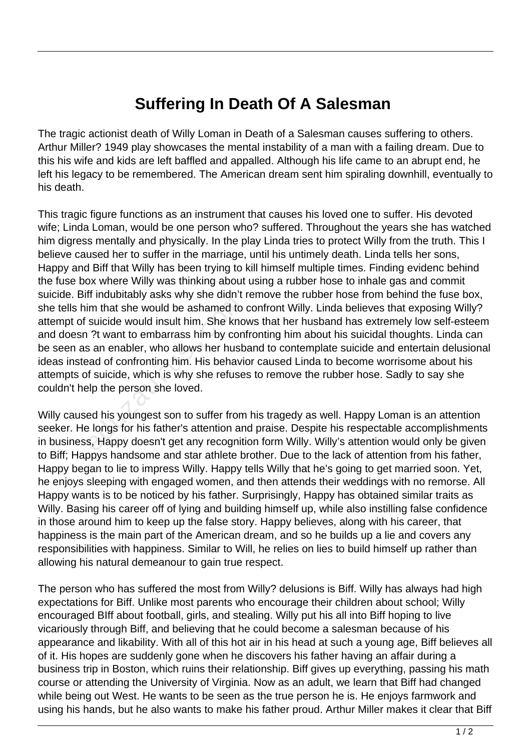## **Suffering In Death Of A Salesman**

The tragic actionist death of Willy Loman in Death of a Salesman causes suffering to others. Arthur Miller? 1949 play showcases the mental instability of a man with a failing dream. Due to this his wife and kids are left baffled and appalled. Although his life came to an abrupt end, he left his legacy to be remembered. The American dream sent him spiraling downhill, eventually to his death.

This tragic figure functions as an instrument that causes his loved one to suffer. His devoted wife; Linda Loman, would be one person who? suffered. Throughout the years she has watched him digress mentally and physically. In the play Linda tries to protect Willy from the truth. This I believe caused her to suffer in the marriage, until his untimely death. Linda tells her sons, Happy and Biff that Willy has been trying to kill himself multiple times. Finding evidenc behind the fuse box where Willy was thinking about using a rubber hose to inhale gas and commit suicide. Biff indubitably asks why she didn't remove the rubber hose from behind the fuse box, she tells him that she would be ashamed to confront Willy. Linda believes that exposing Willy? attempt of suicide would insult him. She knows that her husband has extremely low self-esteem and doesn ?t want to embarrass him by confronting him about his suicidal thoughts. Linda can be seen as an enabler, who allows her husband to contemplate suicide and entertain delusional ideas instead of confronting him. His behavior caused Linda to become worrisome about his attempts of suicide, which is why she refuses to remove the rubber hose. Sadly to say she couldn't help the person she loved. In that she would be ashamed to<br>suicide would insult him. She kno<br>?t want to embarrass him by cont<br>is an enabler, who allows her husb<br>ad of confronting him. His behavior<br>of suicide, which is why she refuse<br>alp the person s

Willy caused his youngest son to suffer from his tragedy as well. Happy Loman is an attention seeker. He longs for his father's attention and praise. Despite his respectable accomplishments in business, Happy doesn't get any recognition form Willy. Willy's attention would only be given to Biff; Happys handsome and star athlete brother. Due to the lack of attention from his father, Happy began to lie to impress Willy. Happy tells Willy that he's going to get married soon. Yet, he enjoys sleeping with engaged women, and then attends their weddings with no remorse. All Happy wants is to be noticed by his father. Surprisingly, Happy has obtained similar traits as Willy. Basing his career off of lying and building himself up, while also instilling false confidence in those around him to keep up the false story. Happy believes, along with his career, that happiness is the main part of the American dream, and so he builds up a lie and covers any responsibilities with happiness. Similar to Will, he relies on lies to build himself up rather than allowing his natural demeanour to gain true respect.

The person who has suffered the most from Willy? delusions is Biff. Willy has always had high expectations for Biff. Unlike most parents who encourage their children about school; Willy encouraged BIff about football, girls, and stealing. Willy put his all into Biff hoping to live vicariously through Biff, and believing that he could become a salesman because of his appearance and likability. With all of this hot air in his head at such a young age, Biff believes all of it. His hopes are suddenly gone when he discovers his father having an affair during a business trip in Boston, which ruins their relationship. Biff gives up everything, passing his math course or attending the University of Virginia. Now as an adult, we learn that Biff had changed while being out West. He wants to be seen as the true person he is. He enjoys farmwork and using his hands, but he also wants to make his father proud. Arthur Miller makes it clear that Biff